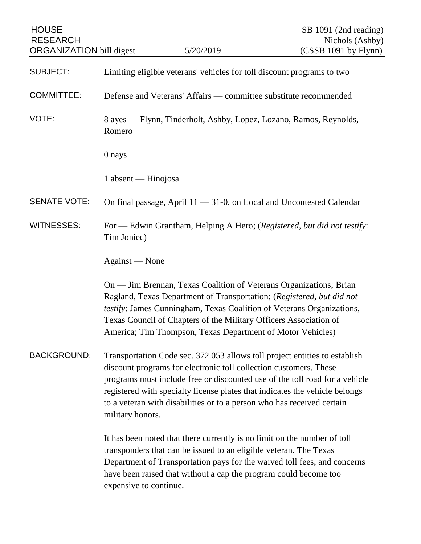| <b>HOUSE</b><br><b>RESEARCH</b><br><b>ORGANIZATION</b> bill digest |                                                                                                                                                                                                                                                                                                                                                                                                             | 5/20/2019                                                                                                                                                                                                                                                                                                                                               | SB 1091 (2nd reading)<br>Nichols (Ashby)<br>(CSSB 1091 by Flynn)         |
|--------------------------------------------------------------------|-------------------------------------------------------------------------------------------------------------------------------------------------------------------------------------------------------------------------------------------------------------------------------------------------------------------------------------------------------------------------------------------------------------|---------------------------------------------------------------------------------------------------------------------------------------------------------------------------------------------------------------------------------------------------------------------------------------------------------------------------------------------------------|--------------------------------------------------------------------------|
|                                                                    |                                                                                                                                                                                                                                                                                                                                                                                                             |                                                                                                                                                                                                                                                                                                                                                         |                                                                          |
| <b>SUBJECT:</b>                                                    | Limiting eligible veterans' vehicles for toll discount programs to two                                                                                                                                                                                                                                                                                                                                      |                                                                                                                                                                                                                                                                                                                                                         |                                                                          |
| <b>COMMITTEE:</b>                                                  | Defense and Veterans' Affairs — committee substitute recommended                                                                                                                                                                                                                                                                                                                                            |                                                                                                                                                                                                                                                                                                                                                         |                                                                          |
| VOTE:                                                              | Romero                                                                                                                                                                                                                                                                                                                                                                                                      | 8 ayes — Flynn, Tinderholt, Ashby, Lopez, Lozano, Ramos, Reynolds,                                                                                                                                                                                                                                                                                      |                                                                          |
|                                                                    | 0 nays                                                                                                                                                                                                                                                                                                                                                                                                      |                                                                                                                                                                                                                                                                                                                                                         |                                                                          |
|                                                                    | 1 absent — Hinojosa                                                                                                                                                                                                                                                                                                                                                                                         |                                                                                                                                                                                                                                                                                                                                                         |                                                                          |
| <b>SENATE VOTE:</b>                                                |                                                                                                                                                                                                                                                                                                                                                                                                             | On final passage, April $11 - 31 - 0$ , on Local and Uncontested Calendar                                                                                                                                                                                                                                                                               |                                                                          |
| <b>WITNESSES:</b>                                                  | Tim Joniec)                                                                                                                                                                                                                                                                                                                                                                                                 |                                                                                                                                                                                                                                                                                                                                                         | For — Edwin Grantham, Helping A Hero; (Registered, but did not testify:  |
|                                                                    | Against — None                                                                                                                                                                                                                                                                                                                                                                                              |                                                                                                                                                                                                                                                                                                                                                         |                                                                          |
|                                                                    |                                                                                                                                                                                                                                                                                                                                                                                                             | On — Jim Brennan, Texas Coalition of Veterans Organizations; Brian<br>Ragland, Texas Department of Transportation; (Registered, but did not<br>testify: James Cunningham, Texas Coalition of Veterans Organizations,<br>Texas Council of Chapters of the Military Officers Association of<br>America; Tim Thompson, Texas Department of Motor Vehicles) |                                                                          |
| <b>BACKGROUND:</b>                                                 | Transportation Code sec. 372.053 allows toll project entities to establish<br>discount programs for electronic toll collection customers. These<br>programs must include free or discounted use of the toll road for a vehicle<br>registered with specialty license plates that indicates the vehicle belongs<br>to a veteran with disabilities or to a person who has received certain<br>military honors. |                                                                                                                                                                                                                                                                                                                                                         |                                                                          |
|                                                                    | expensive to continue.                                                                                                                                                                                                                                                                                                                                                                                      | It has been noted that there currently is no limit on the number of toll<br>transponders that can be issued to an eligible veteran. The Texas<br>have been raised that without a cap the program could become too                                                                                                                                       | Department of Transportation pays for the waived toll fees, and concerns |